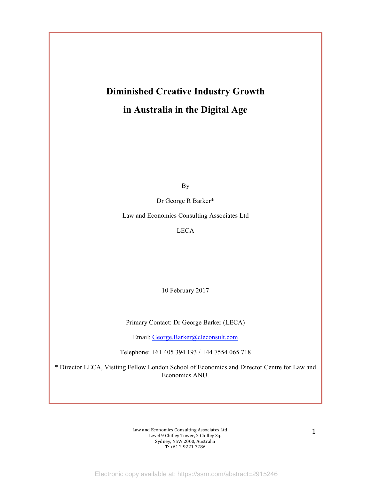# **Diminished Creative Industry Growth in Australia in the Digital Age**

By

Dr George R Barker\*

Law and Economics Consulting Associates Ltd

LECA

10 February 2017

Primary Contact: Dr George Barker (LECA)

Email: George.Barker@cleconsult.com

Telephone: +61 405 394 193 / +44 7554 065 718

\* Director LECA, Visiting Fellow London School of Economics and Director Centre for Law and Economics ANU.

> Law and Economics Consulting Associates Ltd Level 9 Chifley Tower, 2 Chifley Sq. Sydney, NSW 2000, Australia  $T: +61292217286$

1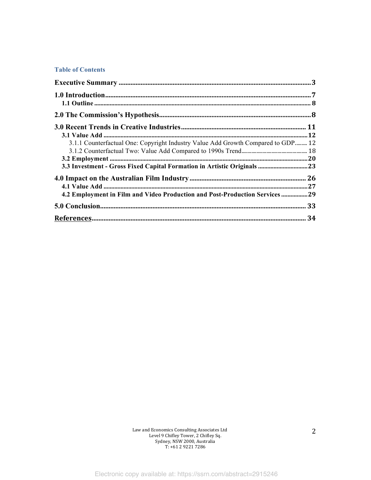#### **Table of Contents**

| 3.1.1 Counterfactual One: Copyright Industry Value Add Growth Compared to GDP 12 |  |
|----------------------------------------------------------------------------------|--|
|                                                                                  |  |
|                                                                                  |  |
| 3.3 Investment - Gross Fixed Capital Formation in Artistic Originals  23         |  |
|                                                                                  |  |
|                                                                                  |  |
| 4.2 Employment in Film and Video Production and Post-Production Services 29      |  |
|                                                                                  |  |
|                                                                                  |  |

Law and Economics Consulting Associates Ltd Level 9 Chifley Tower, 2 Chifley Sq. Sydney, NSW 2000, Australia T: +61 2 9221 7286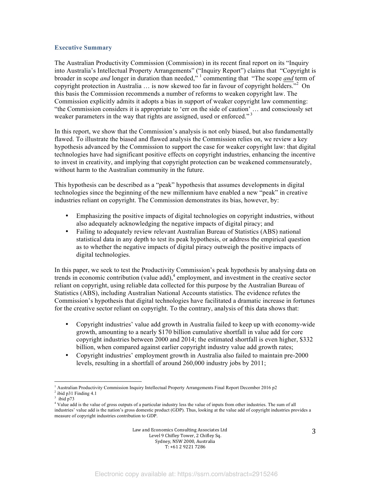#### **Executive Summary**

The Australian Productivity Commission (Commission) in its recent final report on its "Inquiry into Australia's Intellectual Property Arrangements" ("Inquiry Report") claims that "Copyright is broader in scope *and* longer in duration than needed," <sup>1</sup> commenting that "The scope *and* term of copyright protection in Australia … is now skewed too far in favour of copyright holders." <sup>2</sup> On this basis the Commission recommends a number of reforms to weaken copyright law. The Commission explicitly admits it adopts a bias in support of weaker copyright law commenting: "the Commission considers it is appropriate to 'err on the side of caution' … and consciously set weaker parameters in the way that rights are assigned, used or enforced."<sup>3</sup>

In this report, we show that the Commission's analysis is not only biased, but also fundamentally flawed. To illustrate the biased and flawed analysis the Commission relies on, we review a key hypothesis advanced by the Commission to support the case for weaker copyright law: that digital technologies have had significant positive effects on copyright industries, enhancing the incentive to invest in creativity, and implying that copyright protection can be weakened commensurately, without harm to the Australian community in the future.

This hypothesis can be described as a "peak" hypothesis that assumes developments in digital technologies since the beginning of the new millennium have enabled a new "peak" in creative industries reliant on copyright. The Commission demonstrates its bias, however, by:

- Emphasizing the positive impacts of digital technologies on copyright industries, without also adequately acknowledging the negative impacts of digital piracy; and
- Failing to adequately review relevant Australian Bureau of Statistics (ABS) national statistical data in any depth to test its peak hypothesis, or address the empirical question as to whether the negative impacts of digital piracy outweigh the positive impacts of digital technologies.

In this paper, we seek to test the Productivity Commission's peak hypothesis by analysing data on trends in economic contribution (value add), <sup>4</sup> employment, and investment in the creative sector reliant on copyright, using reliable data collected for this purpose by the Australian Bureau of Statistics (ABS), including Australian National Accounts statistics. The evidence refutes the Commission's hypothesis that digital technologies have facilitated a dramatic increase in fortunes for the creative sector reliant on copyright. To the contrary, analysis of this data shows that:

- Copyright industries' value add growth in Australia failed to keep up with economy-wide growth, amounting to a nearly \$170 billion cumulative shortfall in value add for core copyright industries between 2000 and 2014; the estimated shortfall is even higher, \$332 billion, when compared against earlier copyright industry value add growth rates;
- Copyright industries' employment growth in Australia also failed to maintain pre-2000 levels, resulting in a shortfall of around 260,000 industry jobs by 2011;

 

<sup>1</sup> Australian Productivity Commission Inquiry Intellectual Property Arrangements Final Report December 2016 p2 ibid p31 Finding 4.1

 $3$  ibid p73

<sup>4</sup> Value add is the value of gross outputs of a particular industry less the value of inputs from other industries. The sum of all industries' value add is the nation's gross domestic product (GDP). Thus, looking at the value add of copyright industries provides a measure of copyright industries contribution to GDP.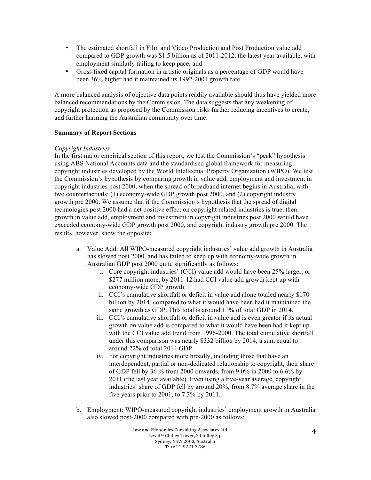- The estimated shortfall in Film and Video Production and Post Production value add compared to GDP growth was \$1.5 billion as of 2011-2012, the latest year available, with employment similarly failing to keep pace; and
- Gross fixed capital formation in artistic originals as a percentage of GDP would have been 36% higher had it maintained its 1992-2001 growth rate.

A more balanced analysis of objective data points readily available should thus have yielded more balanced recommendations by the Commission. The data suggests that any weakening of copyright protection as proposed by the Commission risks further reducing incentives to create, and further harming the Australian community over time.

#### **Summary of Report Sections**

#### *Copyright Industries*

In the first major empirical section of this report, we test the Commission's "peak" hypothesis using ABS National Accounts data and the standardised global framework for measuring copyright industries developed by the World Intellectual Property Organization (WIPO). We test the Commission's hypothesis by comparing growth in value add, employment and investment in copyright industries post 2000, when the spread of broadband internet begins in Australia, with two counterfactuals: (1) economy-wide GDP growth post 2000, and (2) copyright industry growth pre 2000. We assume that if the Commission's hypothesis that the spread of digital technologies post 2000 had a net positive effect on copyright related industries is true, then growth in value add, employment and investment in copyright industries post 2000 would have exceeded economy-wide GDP growth post 2000, and copyright industry growth pre 2000. The results, however, show the opposite:

- a. Value Add: All WIPO-measured copyright industries' value add growth in Australia has slowed post 2000, and has failed to keep up with economy-wide growth in Australian GDP post 2000 quite significantly as follows:
	- i. Core copyright industries' (CCI) value add would have been 25% larger, or \$277 million more, by 2011-12 had CCI value add growth kept up with economy-wide GDP growth.
	- ii. CCI's cumulative shortfall or deficit in value add alone totaled nearly \$170 billion by 2014, compared to what it would have been had it maintained the same growth as GDP. This total is around 11% of total GDP in 2014.
	- iii. CCI's cumulative shortfall or deficit in value add is even greater if its actual growth on value add is compared to what it would have been had it kept up with the CCI value add trend from 1996-2000. The total cumulative shortfall under this comparison was nearly \$332 billion by 2014, a sum equal to around 22% of total 2014 GDP.
	- iv. For copyright industries more broadly, including those that have an interdependent, partial or non-dedicated relationship to copyright, their share of GDP fell by 36 % from 2000 onwards, from 9.0% in 2000 to 6.6% by 2011 (the last year available). Even using a five-year average, copyright industries' share of GDP fell by around 20%, from 8.7% average share in the five years prior to 2001, to 7.3% by 2011.
- b. Employment: WIPO-measured copyright industries' employment growth in Australia also slowed post-2000 compared with pre-2000 as follows: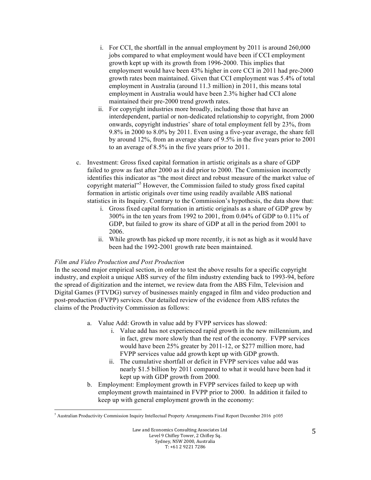- i. For CCI, the shortfall in the annual employment by 2011 is around 260,000 jobs compared to what employment would have been if CCI employment growth kept up with its growth from 1996-2000. This implies that employment would have been 43% higher in core CCI in 2011 had pre-2000 growth rates been maintained. Given that CCI employment was 5.4% of total employment in Australia (around 11.3 million) in 2011, this means total employment in Australia would have been 2.3% higher had CCI alone maintained their pre-2000 trend growth rates.
- ii. For copyright industries more broadly, including those that have an interdependent, partial or non-dedicated relationship to copyright, from 2000 onwards, copyright industries' share of total employment fell by 23%, from 9.8% in 2000 to 8.0% by 2011. Even using a five-year average, the share fell by around 12%, from an average share of 9.5% in the five years prior to 2001 to an average of 8.5% in the five years prior to 2011.
- c. Investment: Gross fixed capital formation in artistic originals as a share of GDP failed to grow as fast after 2000 as it did prior to 2000. The Commission incorrectly identifies this indicator as "the most direct and robust measure of the market value of copyright material" <sup>5</sup> However, the Commission failed to study gross fixed capital formation in artistic originals over time using readily available ABS national statistics in its Inquiry. Contrary to the Commission's hypothesis, the data show that:
	- i. Gross fixed capital formation in artistic originals as a share of GDP grew by 300% in the ten years from 1992 to 2001, from 0.04% of GDP to 0.11% of GDP, but failed to grow its share of GDP at all in the period from 2001 to 2006.
	- ii. While growth has picked up more recently, it is not as high as it would have been had the 1992-2001 growth rate been maintained.

### *Film and Video Production and Post Production*

In the second major empirical section, in order to test the above results for a specific copyright industry, and exploit a unique ABS survey of the film industry extending back to 1993-94, before the spread of digitization and the internet, we review data from the ABS Film, Television and Digital Games (FTVDG) survey of businesses mainly engaged in film and video production and post-production (FVPP) services. Our detailed review of the evidence from ABS refutes the claims of the Productivity Commission as follows:

- a. Value Add: Growth in value add by FVPP services has slowed:
	- i. Value add has not experienced rapid growth in the new millennium, and in fact, grew more slowly than the rest of the economy. FVPP services would have been 25% greater by 2011-12, or \$277 million more, had FVPP services value add growth kept up with GDP growth.
	- ii. The cumulative shortfall or deficit in FVPP services value add was nearly \$1.5 billion by 2011 compared to what it would have been had it kept up with GDP growth from 2000*.*
- b. Employment: Employment growth in FVPP services failed to keep up with employment growth maintained in FVPP prior to 2000. In addition it failed to keep up with general employment growth in the economy:

 <sup>5</sup> Australian Productivity Commission Inquiry Intellectual Property Arrangements Final Report December 2016 p105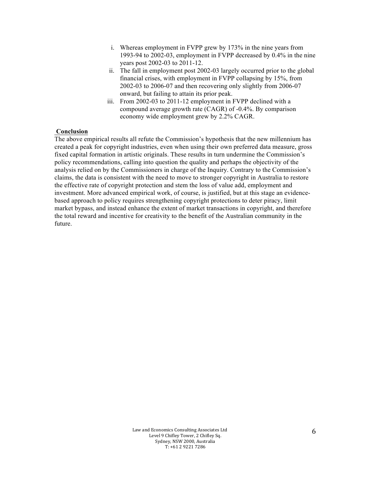- i. Whereas employment in FVPP grew by 173% in the nine years from 1993-94 to 2002-03, employment in FVPP decreased by 0.4% in the nine years post 2002-03 to 2011-12.
- ii. The fall in employment post 2002-03 largely occurred prior to the global financial crises, with employment in FVPP collapsing by 15%, from 2002-03 to 2006-07 and then recovering only slightly from 2006-07 onward, but failing to attain its prior peak.
- iii. From 2002-03 to 2011-12 employment in FVPP declined with a compound average growth rate (CAGR) of -0.4%. By comparison economy wide employment grew by 2.2% CAGR.

#### **Conclusion**

The above empirical results all refute the Commission's hypothesis that the new millennium has created a peak for copyright industries, even when using their own preferred data measure, gross fixed capital formation in artistic originals. These results in turn undermine the Commission's policy recommendations, calling into question the quality and perhaps the objectivity of the analysis relied on by the Commissioners in charge of the Inquiry. Contrary to the Commission's claims, the data is consistent with the need to move to stronger copyright in Australia to restore the effective rate of copyright protection and stem the loss of value add, employment and investment. More advanced empirical work, of course, is justified, but at this stage an evidencebased approach to policy requires strengthening copyright protections to deter piracy, limit market bypass, and instead enhance the extent of market transactions in copyright, and therefore the total reward and incentive for creativity to the benefit of the Australian community in the future.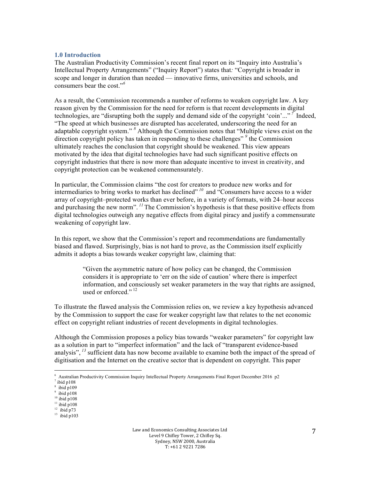#### **1.0 Introduction**

The Australian Productivity Commission's recent final report on its "Inquiry into Australia's Intellectual Property Arrangements" ("Inquiry Report") states that*:* "Copyright is broader in scope and longer in duration than needed — innovative firms, universities and schools, and consumers bear the cost."*<sup>6</sup>*

As a result, the Commission recommends a number of reforms to weaken copyright law. A key reason given by the Commission for the need for reform is that recent developments in digital technologies, are "disrupting both the supply and demand side of the copyright 'coin'..." *<sup>7</sup>* Indeed, "The speed at which businesses are disrupted has accelerated, underscoring the need for an adaptable copyright system." *<sup>8</sup>* Although the Commission notes that "Multiple views exist on the direction copyright policy has taken in responding to these challenges" *<sup>9</sup>* the Commission ultimately reaches the conclusion that copyright should be weakened. This view appears motivated by the idea that digital technologies have had such significant positive effects on copyright industries that there is now more than adequate incentive to invest in creativity, and copyright protection can be weakened commensurately.

In particular, the Commission claims "the cost for creators to produce new works and for intermediaries to bring works to market has declined" <sup>10</sup> and "Consumers have access to a wider array of copyright–protected works than ever before, in a variety of formats, with 24–hour access and purchasing the new norm". <sup>11</sup> The Commission's hypothesis is that these positive effects from digital technologies outweigh any negative effects from digital piracy and justify a commensurate weakening of copyright law.

In this report, we show that the Commission's report and recommendations are fundamentally biased and flawed. Surprisingly, bias is not hard to prove, as the Commission itself explicitly admits it adopts a bias towards weaker copyright law, claiming that:

> "Given the asymmetric nature of how policy can be changed, the Commission considers it is appropriate to 'err on the side of caution' where there is imperfect information, and consciously set weaker parameters in the way that rights are assigned, used or enforced."<sup>12</sup>

To illustrate the flawed analysis the Commission relies on, we review a key hypothesis advanced by the Commission to support the case for weaker copyright law that relates to the net economic effect on copyright reliant industries of recent developments in digital technologies.

Although the Commission proposes a policy bias towards "weaker parameters" for copyright law as a solution in part to "imperfect information" and the lack of "transparent evidence-based analysis", <sup>13</sup> sufficient data has now become available to examine both the impact of the spread of digitisation and the Internet on the creative sector that is dependent on copyright. This paper

 

<sup>6</sup> Australian Productivity Commission Inquiry Intellectual Property Arrangements Final Report December 2016 p2

 $^7$ ibid p $108\,$ 8

ibid p109 9

ibid p108  $10$  ibid p108

 $11$  ibid p108

 $12$  ibid p73

 $13$  ibid p103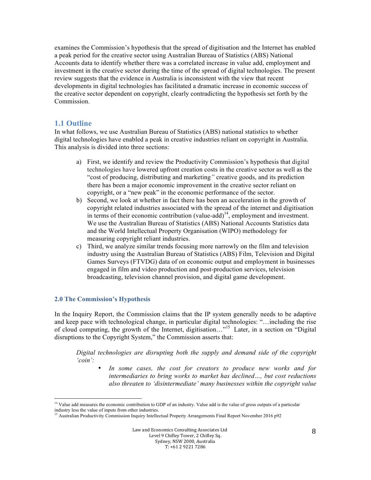examines the Commission's hypothesis that the spread of digitisation and the Internet has enabled a peak period for the creative sector using Australian Bureau of Statistics (ABS) National Accounts data to identify whether there was a correlated increase in value add, employment and investment in the creative sector during the time of the spread of digital technologies. The present review suggests that the evidence in Australia is inconsistent with the view that recent developments in digital technologies has facilitated a dramatic increase in economic success of the creative sector dependent on copyright, clearly contradicting the hypothesis set forth by the Commission.

# **1.1 Outline**

In what follows, we use Australian Bureau of Statistics (ABS) national statistics to whether digital technologies have enabled a peak in creative industries reliant on copyright in Australia. This analysis is divided into three sections:

- a) First, we identify and review the Productivity Commission's hypothesis that digital technologies have lowered upfront creation costs in the creative sector as well as the "cost of producing, distributing and marketing*"* creative goods, and its prediction there has been a major economic improvement in the creative sector reliant on copyright, or a "new peak" in the economic performance of the sector.
- b) Second, we look at whether in fact there has been an acceleration in the growth of copyright related industries associated with the spread of the internet and digitisation in terms of their economic contribution (value-add)<sup>14</sup>, employment and investment. We use the Australian Bureau of Statistics (ABS) National Accounts Statistics data and the World Intellectual Property Organisation (WIPO) methodology for measuring copyright reliant industries.
- c) Third, we analyze similar trends focusing more narrowly on the film and television industry using the Australian Bureau of Statistics (ABS) Film, Television and Digital Games Surveys (FTVDG) data of on economic output and employment in businesses engaged in film and video production and post-production services, television broadcasting, television channel provision, and digital game development.

#### **2.0 The Commission's Hypothesis**

 

In the Inquiry Report, the Commission claims that the IP system generally needs to be adaptive and keep pace with technological change, in particular digital technologies: "…including the rise of cloud computing, the growth of the Internet, digitisation…" <sup>15</sup> Later, in a section on "Digital disruptions to the Copyright System," the Commission asserts that:

*Digital technologies are disrupting both the supply and demand side of the copyright 'coin':*

• *In some cases, the cost for creators to produce new works and for intermediaries to bring works to market has declined…, but cost reductions also threaten to 'disintermediate' many businesses within the copyright value* 

<sup>&</sup>lt;sup>14</sup> Value add measures the economic contribution to GDP of an industry. Value add is the value of gross outputs of a particular industry less the value of inputs from other industries.

 $\beta$  Australian Productivity Commission Inquiry Intellectual Property Arrangements Final Report November 2016 p92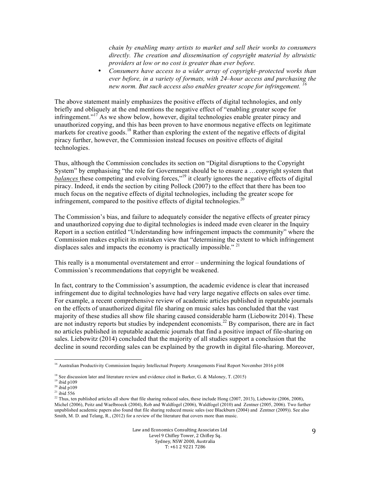*chain by enabling many artists to market and sell their works to consumers directly. The creation and dissemination of copyright material by altruistic providers at low or no cost is greater than ever before.* 

• *Consumers have access to a wider array of copyright–protected works than ever before, in a variety of formats, with 24–hour access and purchasing the new norm. But such access also enables greater scope for infringement. <sup>16</sup>*

The above statement mainly emphasizes the positive effects of digital technologies, and only briefly and obliquely at the end mentions the negative effect of "enabling greater scope for infringement."<sup>17</sup> As we show below, however, digital technologies enable greater piracy and unauthorized copying, and this has been proven to have enormous negative effects on legitimate markets for creative goods.<sup>18</sup> Rather than exploring the extent of the negative effects of digital piracy further, however, the Commission instead focuses on positive effects of digital technologies.

Thus, although the Commission concludes its section on "Digital disruptions to the Copyright System" by emphasising "the role for Government should be to ensure a …copyright system that balances these competing and evolving forces,"<sup>19</sup> it clearly ignores the negative effects of digital piracy. Indeed, it ends the section by citing Pollock (2007) to the effect that there has been too much focus on the negative effects of digital technologies, including the greater scope for infringement, compared to the positive effects of digital technologies.<sup>20</sup>

The Commission's bias, and failure to adequately consider the negative effects of greater piracy and unauthorized copying due to digital technologies is indeed made even clearer in the Inquiry Report in a section entitled "Understanding how infringement impacts the community" where the Commission makes explicit its mistaken view that "determining the extent to which infringement displaces sales and impacts the economy is practically impossible."<sup>21</sup>

This really is a monumental overstatement and error – undermining the logical foundations of Commission's recommendations that copyright be weakened.

In fact, contrary to the Commission's assumption, the academic evidence is clear that increased infringement due to digital technologies have had very large negative effects on sales over time. For example, a recent comprehensive review of academic articles published in reputable journals on the effects of unauthorized digital file sharing on music sales has concluded that the vast majority of these studies all show file sharing caused considerable harm (Liebowitz 2014). These are not industry reports but studies by independent economists.<sup>22</sup> By comparison, there are in fact no articles published in reputable academic journals that find a positive impact of file-sharing on sales. Liebowitz (2014) concluded that the majority of all studies support a conclusion that the decline in sound recording sales can be explained by the growth in digital file-sharing. Moreover,

 

<sup>&</sup>lt;sup>16</sup> Australian Productivity Commission Inquiry Intellectual Property Arrangements Final Report November 2016 p108

<sup>&</sup>lt;sup>18</sup> See discussion later and literature review and evidence cited in Barker, G. & Maloney, T. (2015)

 $19$  ibid p109

 $20$  ibid p109

 $21$  ibid 556

<sup>&</sup>lt;sup>22</sup> Thus, ten published articles all show that file sharing reduced sales, these include Hong (2007, 2013), Liebowitz (2006, 2008), Michel (2006), Peitz and Waelbroeck (2004), Rob and Waldfogel (2006), Waldfogel (2010) and Zentner (2005, 2006). Two further unpublished academic papers also found that file sharing reduced music sales (see Blackburn (2004) and Zentner (2009)). See also Smith, M. D. and Telang, R., (2012) for a review of the literature that covers more than music.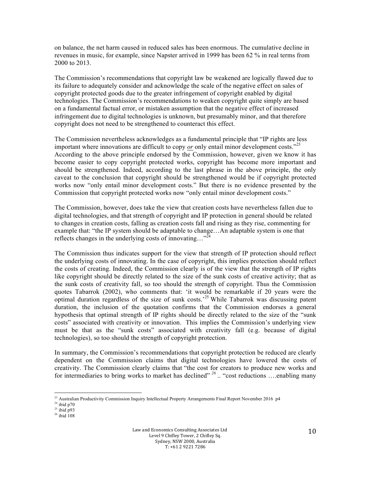on balance, the net harm caused in reduced sales has been enormous. The cumulative decline in revenues in music, for example, since Napster arrived in 1999 has been 62 % in real terms from 2000 to 2013.

The Commission's recommendations that copyright law be weakened are logically flawed due to its failure to adequately consider and acknowledge the scale of the negative effect on sales of copyright protected goods due to the greater infringement of copyright enabled by digital technologies. The Commission's recommendations to weaken copyright quite simply are based on a fundamental factual error, or mistaken assumption that the negative effect of increased infringement due to digital technologies is unknown, but presumably minor, and that therefore copyright does not need to be strengthened to counteract this effect.

The Commission nevertheless acknowledges as a fundamental principle that "IP rights are less important where innovations are difficult to copy *or* only entail minor development costs."<sup>23</sup> According to the above principle endorsed by the Commission, however, given we know it has become easier to copy copyright protected works, copyright has become more important and should be strengthened. Indeed, according to the last phrase in the above principle, the only caveat to the conclusion that copyright should be strengthened would be if copyright protected works now "only entail minor development costs." But there is no evidence presented by the Commission that copyright protected works now "only entail minor development costs."

The Commission, however, does take the view that creation costs have nevertheless fallen due to digital technologies, and that strength of copyright and IP protection in general should be related to changes in creation costs, falling as creation costs fall and rising as they rise, commenting for example that: "the IP system should be adaptable to change…An adaptable system is one that reflects changes in the underlying costs of innovating..."<sup>24</sup>

The Commission thus indicates support for the view that strength of IP protection should reflect the underlying costs of innovating. In the case of copyright, this implies protection should reflect the costs of creating. Indeed, the Commission clearly is of the view that the strength of IP rights like copyright should be directly related to the size of the sunk costs of creative activity; that as the sunk costs of creativity fall, so too should the strength of copyright. Thus the Commission quotes Tabarrok (2002), who comments that: 'it would be remarkable if 20 years were the optimal duration regardless of the size of sunk costs.<sup>25</sup> While Tabarrok was discussing patent duration, the inclusion of the quotation confirms that the Commission endorses a general hypothesis that optimal strength of IP rights should be directly related to the size of the "sunk costs" associated with creativity or innovation. This implies the Commission's underlying view must be that as the "sunk costs" associated with creativity fall (e.g. because of digital technologies), so too should the strength of copyright protection.

In summary, the Commission's recommendations that copyright protection be reduced are clearly dependent on the Commission claims that digital technologies have lowered the costs of creativity. The Commission clearly claims that "the cost for creators to produce new works and for intermediaries to bring works to market has declined<sup>" 26</sup>... "cost reductions ....enabling many

 <sup>23</sup> Australian Productivity Commission Inquiry Intellectual Property Arrangements Final Report November 2016 p4

 $24$  ibid p70

 $^{25}$  ibid p93

 $26$  ibid  $108$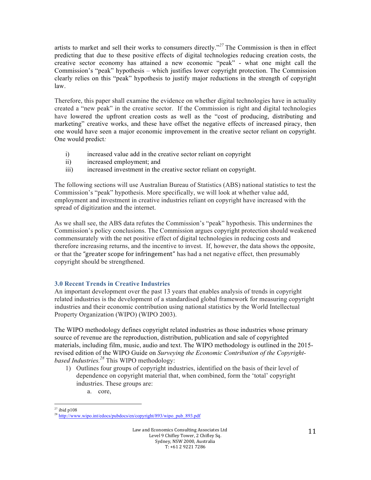artists to market and sell their works to consumers directly." *<sup>27</sup>* The Commission is then in effect predicting that due to these positive effects of digital technologies reducing creation costs, the creative sector economy has attained a new economic "peak" - what one might call the Commission's "peak" hypothesis – which justifies lower copyright protection. The Commission clearly relies on this "peak" hypothesis to justify major reductions in the strength of copyright law.

Therefore, this paper shall examine the evidence on whether digital technologies have in actuality created a "new peak" in the creative sector. If the Commission is right and digital technologies have lowered the upfront creation costs as well as the "cost of producing, distributing and marketing" creative works, and these have offset the negative effects of increased piracy, then one would have seen a major economic improvement in the creative sector reliant on copyright. One would predict*:*

- i) increased value add in the creative sector reliant on copyright
- ii) increased employment; and
- iii) increased investment in the creative sector reliant on copyright.

The following sections will use Australian Bureau of Statistics (ABS) national statistics to test the Commission's "peak" hypothesis. More specifically, we will look at whether value add, employment and investment in creative industries reliant on copyright have increased with the spread of digitization and the internet.

As we shall see, the ABS data refutes the Commission's "peak" hypothesis. This undermines the Commission's policy conclusions. The Commission argues copyright protection should weakened commensurately with the net positive effect of digital technologies in reducing costs and therefore increasing returns, and the incentive to invest. If, however, the data shows the opposite, or that the "greater scope for infringement" has had a net negative effect, then presumably copyright should be strengthened.

# **3.0 Recent Trends in Creative Industries**

An important development over the past 13 years that enables analysis of trends in copyright related industries is the development of a standardised global framework for measuring copyright industries and their economic contribution using national statistics by the World Intellectual Property Organization (WIPO) (WIPO 2003).

The WIPO methodology defines copyright related industries as those industries whose primary source of revenue are the reproduction, distribution, publication and sale of copyrighted materials, including film, music, audio and text. The WIPO methodology is outlined in the 2015 revised edition of the WIPO Guide on *Surveying the Economic Contribution of the Copyrightbased Industries.28* This WIPO methodology:

- 1) Outlines four groups of copyright industries, identified on the basis of their level of dependence on copyright material that, when combined, form the 'total' copyright industries. These groups are:
	- a. core,

  $27$  ibid p108

<sup>28</sup> http://www.wipo.int/edocs/pubdocs/en/copyright/893/wipo\_pub\_893.pdf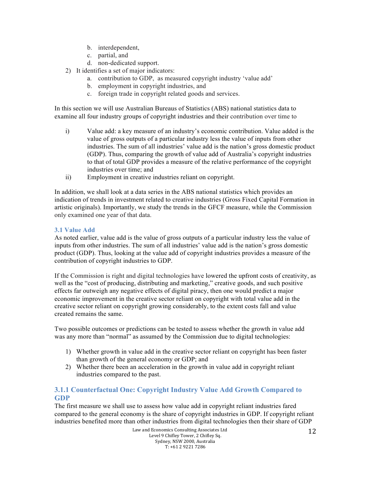- b. interdependent,
- c. partial, and
- d. non-dedicated support.
- 2) It identifies a set of major indicators:
	- a. contribution to GDP, as measured copyright industry 'value add'
	- b. employment in copyright industries, and
	- c. foreign trade in copyright related goods and services.

In this section we will use Australian Bureaus of Statistics (ABS) national statistics data to examine all four industry groups of copyright industries and their contribution over time to

- i) Value add: a key measure of an industry's economic contribution. Value added is the value of gross outputs of a particular industry less the value of inputs from other industries. The sum of all industries' value add is the nation's gross domestic product (GDP). Thus, comparing the growth of value add of Australia's copyright industries to that of total GDP provides a measure of the relative performance of the copyright industries over time; and
- ii) Employment in creative industries reliant on copyright.

In addition, we shall look at a data series in the ABS national statistics which provides an indication of trends in investment related to creative industries (Gross Fixed Capital Formation in artistic originals). Importantly, we study the trends in the GFCF measure, while the Commission only examined one year of that data.

#### **3.1 Value Add**

As noted earlier, value add is the value of gross outputs of a particular industry less the value of inputs from other industries. The sum of all industries' value add is the nation's gross domestic product (GDP). Thus, looking at the value add of copyright industries provides a measure of the contribution of copyright industries to GDP.

If the Commission is right and digital technologies have lowered the upfront costs of creativity, as well as the "cost of producing, distributing and marketing," creative goods, and such positive effects far outweigh any negative effects of digital piracy, then one would predict a major economic improvement in the creative sector reliant on copyright with total value add in the creative sector reliant on copyright growing considerably, to the extent costs fall and value created remains the same.

Two possible outcomes or predictions can be tested to assess whether the growth in value add was any more than "normal" as assumed by the Commission due to digital technologies:

- 1) Whether growth in value add in the creative sector reliant on copyright has been faster than growth of the general economy or GDP; and
- 2) Whether there been an acceleration in the growth in value add in copyright reliant industries compared to the past.

# **3.1.1 Counterfactual One: Copyright Industry Value Add Growth Compared to GDP**

The first measure we shall use to assess how value add in copyright reliant industries fared compared to the general economy is the share of copyright industries in GDP. If copyright reliant industries benefited more than other industries from digital technologies then their share of GDP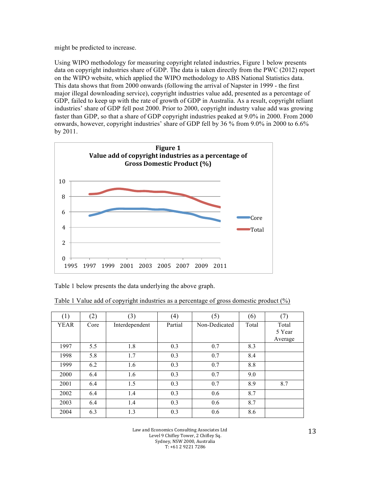might be predicted to increase.

Using WIPO methodology for measuring copyright related industries, Figure 1 below presents data on copyright industries share of GDP. The data is taken directly from the PWC (2012) report on the WIPO website, which applied the WIPO methodology to ABS National Statistics data. This data shows that from 2000 onwards (following the arrival of Napster in 1999 - the first major illegal downloading service), copyright industries value add, presented as a percentage of GDP, failed to keep up with the rate of growth of GDP in Australia. As a result, copyright reliant industries' share of GDP fell post 2000. Prior to 2000, copyright industry value add was growing faster than GDP, so that a share of GDP copyright industries peaked at 9.0% in 2000. From 2000 onwards, however, copyright industries' share of GDP fell by 36 % from 9.0% in 2000 to 6.6% by 2011.



Table 1 below presents the data underlying the above graph.

| (1)         | (2)  | (3)            | (4)     | (5)           | (6)   | (7)     |
|-------------|------|----------------|---------|---------------|-------|---------|
| <b>YEAR</b> | Core | Interdependent | Partial | Non-Dedicated | Total | Total   |
|             |      |                |         |               |       | 5 Year  |
|             |      |                |         |               |       | Average |
| 1997        | 5.5  | 1.8            | 0.3     | 0.7           | 8.3   |         |
| 1998        | 5.8  | 1.7            | 0.3     | 0.7           | 8.4   |         |
| 1999        | 6.2  | 1.6            | 0.3     | 0.7           | 8.8   |         |
| 2000        | 6.4  | 1.6            | 0.3     | 0.7           | 9.0   |         |
| 2001        | 6.4  | 1.5            | 0.3     | 0.7           | 8.9   | 8.7     |
| 2002        | 6.4  | 1.4            | 0.3     | 0.6           | 8.7   |         |
| 2003        | 6.4  | 1.4            | 0.3     | 0.6           | 8.7   |         |
| 2004        | 6.3  | 1.3            | 0.3     | 0.6           | 8.6   |         |

Table 1 Value add of copyright industries as a percentage of gross domestic product (%)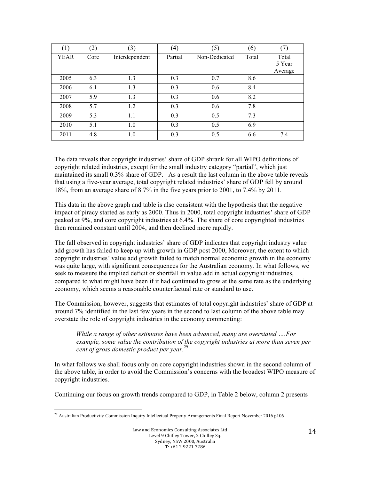| $\left(1\right)$ | (2)  | (3)            | (4)     | (5)           | (6)   | (7)               |
|------------------|------|----------------|---------|---------------|-------|-------------------|
| <b>YEAR</b>      | Core | Interdependent | Partial | Non-Dedicated | Total | Total             |
|                  |      |                |         |               |       | 5 Year<br>Average |
| 2005             | 6.3  | 1.3            | 0.3     | 0.7           | 8.6   |                   |
| 2006             | 6.1  | 1.3            | 0.3     | 0.6           | 8.4   |                   |
| 2007             | 5.9  | 1.3            | 0.3     | 0.6           | 8.2   |                   |
| 2008             | 5.7  | 1.2            | 0.3     | 0.6           | 7.8   |                   |
| 2009             | 5.3  | 1.1            | 0.3     | 0.5           | 7.3   |                   |
| 2010             | 5.1  | 1.0            | 0.3     | 0.5           | 6.9   |                   |
| 2011             | 4.8  | 1.0            | 0.3     | 0.5           | 6.6   | 7.4               |

The data reveals that copyright industries' share of GDP shrank for all WIPO definitions of copyright related industries, except for the small industry category "partial", which just maintained its small 0.3% share of GDP. As a result the last column in the above table reveals that using a five-year average, total copyright related industries' share of GDP fell by around 18%, from an average share of 8.7% in the five years prior to 2001, to 7.4% by 2011.

This data in the above graph and table is also consistent with the hypothesis that the negative impact of piracy started as early as 2000. Thus in 2000, total copyright industries' share of GDP peaked at 9%, and core copyright industries at 6.4%. The share of core copyrighted industries then remained constant until 2004, and then declined more rapidly.

The fall observed in copyright industries' share of GDP indicates that copyright industry value add growth has failed to keep up with growth in GDP post 2000, Moreover, the extent to which copyright industries' value add growth failed to match normal economic growth in the economy was quite large, with significant consequences for the Australian economy. In what follows, we seek to measure the implied deficit or shortfall in value add in actual copyright industries, compared to what might have been if it had continued to grow at the same rate as the underlying economy, which seems a reasonable counterfactual rate or standard to use.

The Commission, however, suggests that estimates of total copyright industries' share of GDP at around 7% identified in the last few years in the second to last column of the above table may overstate the role of copyright industries in the economy commenting:

*While a range of other estimates have been advanced, many are overstated ….For example, some value the contribution of the copyright industries at more than seven per cent of gross domestic product per year.* 29

In what follows we shall focus only on core copyright industries shown in the second column of the above table, in order to avoid the Commission's concerns with the broadest WIPO measure of copyright industries.

Continuing our focus on growth trends compared to GDP, in Table 2 below, column 2 presents

 <sup>29</sup> Australian Productivity Commission Inquiry Intellectual Property Arrangements Final Report November 2016 p106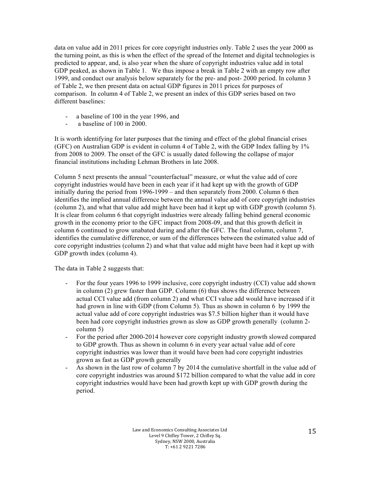data on value add in 2011 prices for core copyright industries only. Table 2 uses the year 2000 as the turning point, as this is when the effect of the spread of the Internet and digital technologies is predicted to appear, and, is also year when the share of copyright industries value add in total GDP peaked, as shown in Table 1. We thus impose a break in Table 2 with an empty row after 1999, and conduct our analysis below separately for the pre- and post- 2000 period. In column 3 of Table 2, we then present data on actual GDP figures in 2011 prices for purposes of comparison. In column 4 of Table 2, we present an index of this GDP series based on two different baselines:

- a baseline of 100 in the year 1996, and
- a baseline of 100 in 2000.

It is worth identifying for later purposes that the timing and effect of the global financial crises (GFC) on Australian GDP is evident in column 4 of Table 2, with the GDP Index falling by 1% from 2008 to 2009. The onset of the GFC is usually dated following the collapse of major financial institutions including Lehman Brothers in late 2008.

Column 5 next presents the annual "counterfactual" measure, or what the value add of core copyright industries would have been in each year if it had kept up with the growth of GDP initially during the period from 1996-1999 – and then separately from 2000. Column 6 then identifies the implied annual difference between the annual value add of core copyright industries (column 2), and what that value add might have been had it kept up with GDP growth (column 5). It is clear from column 6 that copyright industries were already falling behind general economic growth in the economy prior to the GFC impact from 2008-09, and that this growth deficit in column 6 continued to grow unabated during and after the GFC. The final column, column 7, identifies the cumulative difference, or sum of the differences between the estimated value add of core copyright industries (column 2) and what that value add might have been had it kept up with GDP growth index (column 4).

The data in Table 2 suggests that:

- For the four years 1996 to 1999 inclusive, core copyright industry (CCI) value add shown in column (2) grew faster than GDP. Column (6) thus shows the difference between actual CCI value add (from column 2) and what CCI value add would have increased if it had grown in line with GDP (from Column 5). Thus as shown in column 6 by 1999 the actual value add of core copyright industries was \$7.5 billion higher than it would have been had core copyright industries grown as slow as GDP growth generally (column 2 column 5)
- For the period after 2000-2014 however core copyright industry growth slowed compared to GDP growth. Thus as shown in column 6 in every year actual value add of core copyright industries was lower than it would have been had core copyright industries grown as fast as GDP growth generally
- As shown in the last row of column 7 by 2014 the cumulative shortfall in the value add of core copyright industries was around \$172 billion compared to what the value add in core copyright industries would have been had growth kept up with GDP growth during the period.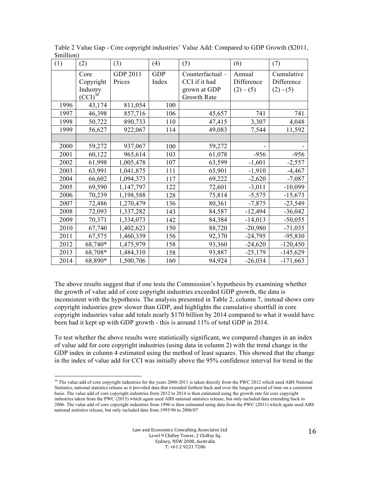| <b>PHILIPOIL</b><br>(1) | (2)                                           | (3)                | (4)                 | (5)                                                             | (6)                               | (7)                                     |
|-------------------------|-----------------------------------------------|--------------------|---------------------|-----------------------------------------------------------------|-----------------------------------|-----------------------------------------|
|                         | Core<br>Copyright<br>Industry<br>$(CCI)^{30}$ | GDP 2011<br>Prices | <b>GDP</b><br>Index | Counterfactual-<br>CCI if it had<br>grown at GDP<br>Growth Rate | Annual<br>Difference<br>$(2)-(5)$ | Cumulative<br>Difference<br>$(2) - (5)$ |
| 1996                    | 43,174                                        | 811,054            | 100                 |                                                                 |                                   |                                         |
| 1997                    | 46,398                                        | 857,716            | 106                 | 45,657                                                          | 741                               | 741                                     |
| 1998                    | 50,722                                        | 890,733            | 110                 | 47,415                                                          | 3,307                             | 4,048                                   |
| 1999                    | 56,627                                        | 922,067            | 114                 | 49,083                                                          | 7,544                             | 11,592                                  |
|                         |                                               |                    |                     |                                                                 |                                   |                                         |
| 2000                    | 59,272                                        | 937,067            | 100                 | 59,272                                                          |                                   |                                         |
| 2001                    | 60,122                                        | 965,614            | 103                 | 61,078                                                          | $-956$                            | $-956$                                  |
| 2002                    | 61,998                                        | 1,005,478          | 107                 | 63,599                                                          | $-1,601$                          | $-2,557$                                |
| 2003                    | 63,991                                        | 1,041,875          | 111                 | 65,901                                                          | $-1,910$                          | $-4,467$                                |
| 2004                    | 66,602                                        | 1,094,373          | 117                 | 69,222                                                          | $-2,620$                          | $-7,087$                                |
| 2005                    | 69,590                                        | 1,147,797          | 122                 | 72,601                                                          | $-3,011$                          | $-10,099$                               |
| 2006                    | 70,239                                        | 1,198,588          | 128                 | 75,814                                                          | $-5,575$                          | $-15,673$                               |
| 2007                    | 72,486                                        | 1,270,479          | 136                 | 80,361                                                          | $-7,875$                          | $-23,549$                               |
| 2008                    | 72,093                                        | 1,337,282          | 143                 | 84,587                                                          | $-12,494$                         | $-36,042$                               |
| 2009                    | 70,371                                        | 1,334,073          | 142                 | 84,384                                                          | $-14,013$                         | $-50,055$                               |
| 2010                    | 67,740                                        | 1,402,623          | 150                 | 88,720                                                          | $-20,980$                         | $-71,035$                               |
| 2011                    | 67,575                                        | 1,460,339          | 156                 | 92,370                                                          | $-24,795$                         | $-95,830$                               |
| 2012                    | 68,740*                                       | 1,475,979          | 158                 | 93,360                                                          | $-24,620$                         | $-120,450$                              |
| 2013                    | 68,708*                                       | 1,484,310          | 158                 | 93,887                                                          | $-25,179$                         | $-145,629$                              |
| 2014                    | 68,890*                                       | 1,500,706          | 160                 | 94,924                                                          | $-26,034$                         | $-171,663$                              |

Table 2 Value Gap - Core copyright industries' Value Add: Compared to GDP Growth (\$2011, \$million)

The above results suggest that if one tests the Commission's hypothesis by examining whether the growth of value add of core copyright industries exceeded GDP growth, the data is inconsistent with the hypothesis. The analysis presented in Table 2, column 7, instead shows core copyright industries grew slower than GDP, and highlights the cumulative shortfall in core copyright industries value add totals nearly \$170 billion by 2014 compared to what it would have been had it kept up with GDP growth - this is around 11% of total GDP in 2014.

To test whether the above results were statistically significant, we compared changes in an index of value add for core copyright industries (using data in column 2) with the trend change in the GDP index in column 4 estimated using the method of least squares. This showed that the change in the index of value add for CCI was initially above the 95% confidence interval for trend in the

  $30$  The value add of core copyright industries for the years 2000-2011 is taken directly from the PWC 2012 which used ABS National Statistics, national statistics release as it provided data that extended furthest back and over the longest period of time on a consistent basis. The value add of core copyright industries from 2012 to 2014 is then estimated using the growth rate for core copyright industries taken from the PWC (2015) which again used ABS national statistics release, but only included data extending back to 2006. The value add of core copyright industries from 1996 is then estimated using data from the PWC (2011) which again used ABS national statistics release, but only included data from 1995/96 to 2006/07.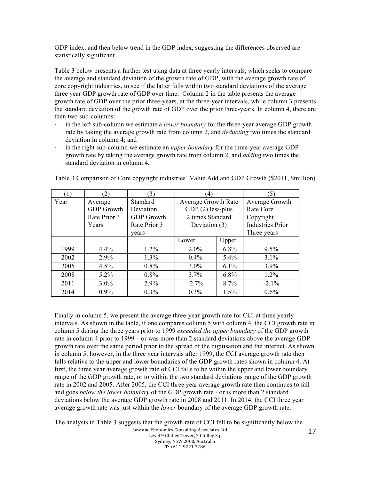GDP index, and then below trend in the GDP index, suggesting the differences observed are statistically significant.

Table 3 below presents a further test using data at three yearly intervals, which seeks to compare the average and standard deviation of the growth rate of GDP, with the average growth rate of core copyright industries, to see if the latter falls within two standard deviations of the average three year GDP growth rate of GDP over time. Column 2 in the table presents the average growth rate of GDP over the prior three-years, at the three-year intervals, while column 3 presents the standard deviation of the growth rate of GDP over the prior three-years. In column 4, there are then two sub-columns:

- in the left sub-column we estimate a *lower boundary* for the three-year average GDP growth rate by taking the average growth rate from column 2, and *deducting* two times the standard deviation in column 4; and
- in the right sub-column we estimate an *upper boundary* for the three-year average GDP growth rate by taking the average growth rate from column 2, and *adding* two times the standard deviation in column 4.

| (1)  | (2)               | (3)               | $\left(4\right)$           |         | (5)                     |
|------|-------------------|-------------------|----------------------------|---------|-------------------------|
| Year | Average           | Standard          | <b>Average Growth Rate</b> |         | Average Growth          |
|      | <b>GDP</b> Growth | Deviation         | GDP $(2)$ less/plus        |         | Rate Core               |
|      | Rate Prior 3      | <b>GDP</b> Growth | 2 times Standard           |         | Copyright               |
|      | Years             | Rate Prior 3      | Deviation (3)              |         | <b>Industries Prior</b> |
|      |                   | vears             |                            |         | Three years             |
|      |                   |                   | Lower                      | Upper   |                         |
| 1999 | 4.4%              | $1.2\%$           | $2.0\%$                    | $6.8\%$ | $9.5\%$                 |
| 2002 | 2.9%              | 1.3%              | 0.4%                       | $5.4\%$ | 3.1%                    |
| 2005 | 4.5%              | $0.8\%$           | $3.0\%$                    | $6.1\%$ | $3.9\%$                 |
| 2008 | $5.2\%$           | $0.8\%$           | 3.7%                       | $6.8\%$ | $1.2\%$                 |
| 2011 | $3.0\%$           | 2.9%              | $-2.7%$                    | 8.7%    | $-2.1\%$                |
| 2014 | 0.9%              | 0.3%              | $0.3\%$                    | 1.5%    | 0.6%                    |

Table 3 Comparison of Core copyright industries' Value Add and GDP Growth (\$2011, \$million)

Finally in column 5, we present the average three-year growth rate for CCI at three yearly intervals. As shown in the table, if one compares column 5 with column 4, the CCI growth rate in column 5 during the three years prior to 1999 *exceeded the upper boundary* of the GDP growth rate in column 4 prior to 1999 – or was more than 2 standard deviations above the average GDP growth rate over the same period prior to the spread of the digitisation and the internet. As shown in column 5, however, in the three year intervals after 1999, the CCI average growth rate then falls relative to the upper and lower boundaries of the GDP growth rates shown in column 4. At first, the three year average growth rate of CCI falls to be within the upper and lower boundary range of the GDP growth rate, or to within the two standard deviations range of the GDP growth rate in 2002 and 2005. After 2005, the CCI three year average growth rate then continues to fall and goes *below the lower boundary* of the GDP growth rate - or is more than 2 standard deviations below the average GDP growth rate in 2008 and 2011. In 2014, the CCI three year average growth rate was just within the *lower* boundary of the average GDP growth rate.

Law and Economics Consulting Associates Ltd Level 9 Chifley Tower, 2 Chifley Sq. Sydney, NSW 2000, Australia  $T: +61292217286$ The analysis in Table 3 suggests that the growth rate of CCI fell to be significantly below the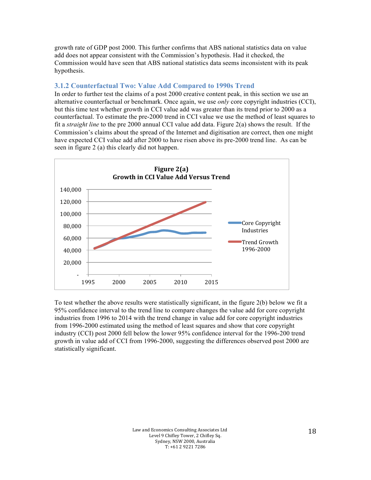growth rate of GDP post 2000. This further confirms that ABS national statistics data on value add does not appear consistent with the Commission's hypothesis. Had it checked, the Commission would have seen that ABS national statistics data seems inconsistent with its peak hypothesis.

# **3.1.2 Counterfactual Two: Value Add Compared to 1990s Trend**

In order to further test the claims of a post 2000 creative content peak, in this section we use an alternative counterfactual or benchmark. Once again, we use *only* core copyright industries (CCI), but this time test whether growth in CCI value add was greater than its trend prior to 2000 as a counterfactual. To estimate the pre-2000 trend in CCI value we use the method of least squares to fit a *straight line* to the pre 2000 annual CCI value add data. Figure 2(a) shows the result. If the Commission's claims about the spread of the Internet and digitisation are correct, then one might have expected CCI value add after 2000 to have risen above its pre-2000 trend line. As can be seen in figure 2 (a) this clearly did not happen.



To test whether the above results were statistically significant, in the figure 2(b) below we fit a 95% confidence interval to the trend line to compare changes the value add for core copyright industries from 1996 to 2014 with the trend change in value add for core copyright industries from 1996-2000 estimated using the method of least squares and show that core copyright industry (CCI) post 2000 fell below the lower 95% confidence interval for the 1996-200 trend growth in value add of CCI from 1996-2000, suggesting the differences observed post 2000 are statistically significant.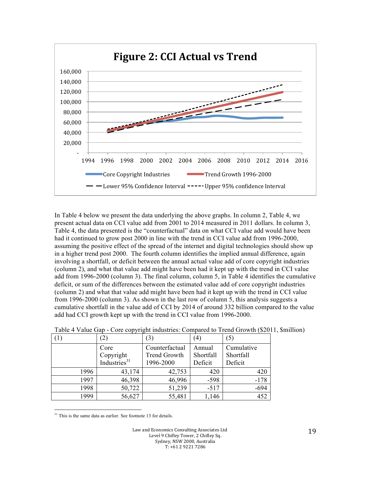

In Table 4 below we present the data underlying the above graphs. In column 2, Table 4, we present actual data on CCI value add from 2001 to 2014 measured in 2011 dollars. In column 3, Table 4, the data presented is the "counterfactual" data on what CCI value add would have been had it continued to grow post 2000 in line with the trend in CCI value add from 1996-2000, assuming the positive effect of the spread of the internet and digital technologies should show up in a higher trend post 2000. The fourth column identifies the implied annual difference, again involving a shortfall, or deficit between the annual actual value add of core copyright industries (column 2), and what that value add might have been had it kept up with the trend in CCI value add from 1996-2000 (column 3). The final column, column 5, in Table 4 identifies the cumulative deficit, or sum of the differences between the estimated value add of core copyright industries (column 2) and what that value add might have been had it kept up with the trend in CCI value from 1996-2000 (column 3). As shown in the last row of column 5, this analysis suggests a cumulative shortfall in the value add of CCI by 2014 of around 332 billion compared to the value add had CCI growth kept up with the trend in CCI value from 1996-2000.

|      | (2)                      | 3)                  | (4)       | (5)        |
|------|--------------------------|---------------------|-----------|------------|
|      | Core                     | Counterfactual      | Annual    | Cumulative |
|      | Copyright                | <b>Trend Growth</b> | Shortfall | Shortfall  |
|      | Industries <sup>31</sup> | 1996-2000           | Deficit   | Deficit    |
| 1996 | 43,174                   | 42,753              | 420       | 420        |
| 1997 | 46,398                   | 46,996              | $-598$    | $-178$     |
| 1998 | 50,722                   | 51,239              | $-517$    | $-694$     |
| 1999 | 56,627                   | 55,481              | 1,146     | 452        |

Table 4 Value Gap - Core copyright industries: Compared to Trend Growth (\$2011, \$million)

 <sup>31</sup> This is the same data as earlier. See footnote 13 for details.

> Law and Economics Consulting Associates Ltd Level 9 Chifley Tower, 2 Chifley Sq. Sydney, NSW 2000, Australia T: +61 2 9221 7286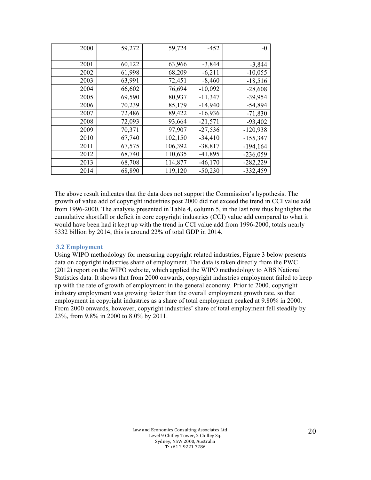| 2000 | 59,272 | 59,724  | $-452$    | $-0$        |
|------|--------|---------|-----------|-------------|
|      |        |         |           |             |
| 2001 | 60,122 | 63,966  | $-3,844$  | $-3,844$    |
| 2002 | 61,998 | 68,209  | $-6,211$  | $-10,055$   |
| 2003 | 63,991 | 72,451  | $-8,460$  | $-18,516$   |
| 2004 | 66,602 | 76,694  | $-10,092$ | $-28,608$   |
| 2005 | 69,590 | 80,937  | $-11,347$ | $-39,954$   |
| 2006 | 70,239 | 85,179  | $-14,940$ | $-54,894$   |
| 2007 | 72,486 | 89,422  | $-16,936$ | $-71,830$   |
| 2008 | 72,093 | 93,664  | $-21,571$ | $-93,402$   |
| 2009 | 70,371 | 97,907  | $-27,536$ | $-120,938$  |
| 2010 | 67,740 | 102,150 | $-34,410$ | $-155,347$  |
| 2011 | 67,575 | 106,392 | $-38,817$ | $-194, 164$ |
| 2012 | 68,740 | 110,635 | $-41,895$ | $-236,059$  |
| 2013 | 68,708 | 114,877 | $-46,170$ | $-282,229$  |
| 2014 | 68,890 | 119,120 | $-50,230$ | $-332,459$  |

The above result indicates that the data does not support the Commission's hypothesis. The growth of value add of copyright industries post 2000 did not exceed the trend in CCI value add from 1996-2000. The analysis presented in Table 4, column 5, in the last row thus highlights the cumulative shortfall or deficit in core copyright industries (CCI) value add compared to what it would have been had it kept up with the trend in CCI value add from 1996-2000, totals nearly \$332 billion by 2014, this is around 22% of total GDP in 2014.

#### **3.2 Employment**

Using WIPO methodology for measuring copyright related industries, Figure 3 below presents data on copyright industries share of employment. The data is taken directly from the PWC (2012) report on the WIPO website, which applied the WIPO methodology to ABS National Statistics data. It shows that from 2000 onwards, copyright industries employment failed to keep up with the rate of growth of employment in the general economy. Prior to 2000, copyright industry employment was growing faster than the overall employment growth rate, so that employment in copyright industries as a share of total employment peaked at 9.80% in 2000. From 2000 onwards, however, copyright industries' share of total employment fell steadily by 23%, from 9.8% in 2000 to 8.0% by 2011.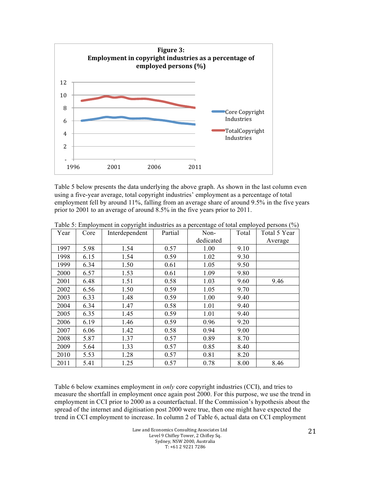

Table 5 below presents the data underlying the above graph. As shown in the last column even using a five-year average, total copyright industries' employment as a percentage of total employment fell by around 11%, falling from an average share of around 9.5% in the five years prior to 2001 to an average of around 8.5% in the five years prior to 2011.

| Year | Core | Interdependent | Partial | Non-      | Total | Total 5 Year |
|------|------|----------------|---------|-----------|-------|--------------|
|      |      |                |         | dedicated |       | Average      |
| 1997 | 5.98 | 1.54           | 0.57    | 1.00      | 9.10  |              |
| 1998 | 6.15 | 1.54           | 0.59    | 1.02      | 9.30  |              |
| 1999 | 6.34 | 1.50           | 0.61    | 1.05      | 9.50  |              |
| 2000 | 6.57 | 1.53           | 0.61    | 1.09      | 9.80  |              |
| 2001 | 6.48 | 1.51           | 0.58    | 1.03      | 9.60  | 9.46         |
| 2002 | 6.56 | 1.50           | 0.59    | 1.05      | 9.70  |              |
| 2003 | 6.33 | 1.48           | 0.59    | 1.00      | 9.40  |              |
| 2004 | 6.34 | 1.47           | 0.58    | 1.01      | 9.40  |              |
| 2005 | 6.35 | 1.45           | 0.59    | 1.01      | 9.40  |              |
| 2006 | 6.19 | 1.46           | 0.59    | 0.96      | 9.20  |              |
| 2007 | 6.06 | 1.42           | 0.58    | 0.94      | 9.00  |              |
| 2008 | 5.87 | 1.37           | 0.57    | 0.89      | 8.70  |              |
| 2009 | 5.64 | 1.33           | 0.57    | 0.85      | 8.40  |              |
| 2010 | 5.53 | 1.28           | 0.57    | 0.81      | 8.20  |              |
| 2011 | 5.41 | 1.25           | 0.57    | 0.78      | 8.00  | 8.46         |

Table 5: Employment in copyright industries as a percentage of total employed persons (%)

Table 6 below examines employment in *only* core copyright industries (CCI), and tries to measure the shortfall in employment once again post 2000. For this purpose, we use the trend in employment in CCI prior to 2000 as a counterfactual. If the Commission's hypothesis about the spread of the internet and digitisation post 2000 were true, then one might have expected the trend in CCI employment to increase. In column 2 of Table 6, actual data on CCI employment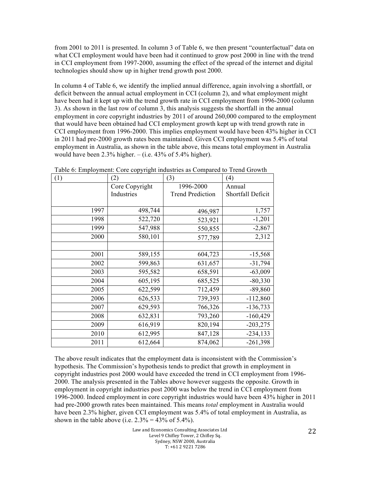from 2001 to 2011 is presented. In column 3 of Table 6, we then present "counterfactual" data on what CCI employment would have been had it continued to grow post 2000 in line with the trend in CCI employment from 1997-2000, assuming the effect of the spread of the internet and digital technologies should show up in higher trend growth post 2000.

In column 4 of Table 6, we identify the implied annual difference, again involving a shortfall, or deficit between the annual actual employment in CCI (column 2), and what employment might have been had it kept up with the trend growth rate in CCI employment from 1996-2000 (column 3). As shown in the last row of column 3, this analysis suggests the shortfall in the annual employment in core copyright industries by 2011 of around 260,000 compared to the employment that would have been obtained had CCI employment growth kept up with trend growth rate in CCI employment from 1996-2000. This implies employment would have been 43% higher in CCI in 2011 had pre-2000 growth rates been maintained. Given CCI employment was 5.4% of total employment in Australia, as shown in the table above, this means total employment in Australia would have been  $2.3\%$  higher.  $-$  (i.e. 43% of 5.4% higher).

| (1)  | (2)            | (3)                     | (4)               |
|------|----------------|-------------------------|-------------------|
|      | Core Copyright | 1996-2000               | Annual            |
|      | Industries     | <b>Trend Prediction</b> | Shortfall Deficit |
|      |                |                         |                   |
| 1997 | 498,744        | 496,987                 | 1,757             |
| 1998 | 522,720        | 523,921                 | $-1,201$          |
| 1999 | 547,988        | 550,855                 | $-2,867$          |
| 2000 | 580,101        | 577,789                 | 2,312             |
|      |                |                         |                   |
| 2001 | 589,155        | 604,723                 | $-15,568$         |
| 2002 | 599,863        | 631,657                 | $-31,794$         |
| 2003 | 595,582        | 658,591                 | $-63,009$         |
| 2004 | 605,195        | 685,525                 | $-80,330$         |
| 2005 | 622,599        | 712,459                 | $-89,860$         |
| 2006 | 626,533        | 739,393                 | $-112,860$        |
| 2007 | 629,593        | 766,326                 | $-136,733$        |
| 2008 | 632,831        | 793,260                 | $-160,429$        |
| 2009 | 616,919        | 820,194                 | $-203,275$        |
| 2010 | 612,995        | 847,128                 | $-234, 133$       |
| 2011 | 612,664        | 874,062                 | $-261,398$        |

Table 6: Employment: Core copyright industries as Compared to Trend Growth

The above result indicates that the employment data is inconsistent with the Commission's hypothesis. The Commission's hypothesis tends to predict that growth in employment in copyright industries post 2000 would have exceeded the trend in CCI employment from 1996- 2000. The analysis presented in the Tables above however suggests the opposite. Growth in employment in copyright industries post 2000 was below the trend in CCI employment from 1996-2000. Indeed employment in core copyright industries would have been 43% higher in 2011 had pre-2000 growth rates been maintained. This means *total* employment in Australia would have been 2.3% higher, given CCI employment was 5.4% of total employment in Australia, as shown in the table above (i.e.  $2.3\% = 43\%$  of 5.4%).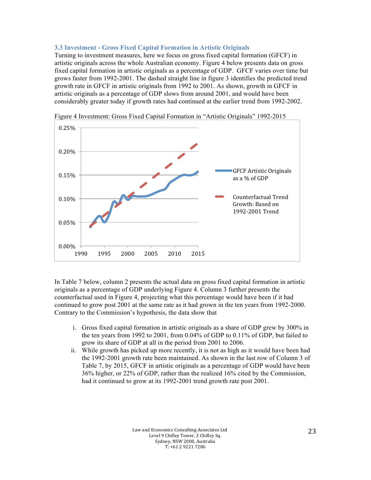#### **3.3 Investment - Gross Fixed Capital Formation in Artistic Originals**

Turning to investment measures, here we focus on gross fixed capital formation (GFCF) in artistic originals across the whole Australian economy. Figure 4 below presents data on gross fixed capital formation in artistic originals as a percentage of GDP. GFCF varies over time but grows faster from 1992-2001. The dashed straight line in figure 3 identifies the predicted trend growth rate in GFCF in artistic originals from 1992 to 2001. As shown, growth in GFCF in artistic originals as a percentage of GDP slows from around 2001, and would have been considerably greater today if growth rates had continued at the earlier trend from 1992-2002.



Figure 4 Investment: Gross Fixed Capital Formation in "Artistic Originals" 1992-2015

In Table 7 below, column 2 presents the actual data on gross fixed capital formation in artistic originals as a percentage of GDP underlying Figure 4. Column 3 further presents the counterfactual used in Figure 4, projecting what this percentage would have been if it had continued to grow post 2001 at the same rate as it had grown in the ten years from 1992-2000. Contrary to the Commission's hypothesis, the data show that

- i. Gross fixed capital formation in artistic originals as a share of GDP grew by 300% in the ten years from 1992 to 2001, from 0.04% of GDP to 0.11% of GDP, but failed to grow its share of GDP at all in the period from 2001 to 2006.
- ii. While growth has picked up more recently, it is not as high as it would have been had the 1992-2001 growth rate been maintained. As shown in the last row of Column 3 of Table 7, by 2015, GFCF in artistic originals as a percentage of GDP would have been 36% higher, or 22% of GDP, rather than the realized 16% cited by the Commission, had it continued to grow at its 1992-2001 trend growth rate post 2001.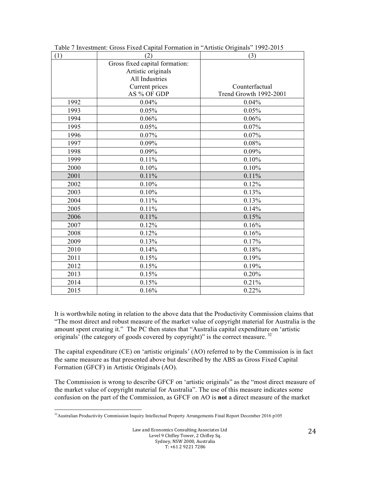| (1)  | (2)                            | (3)                           |
|------|--------------------------------|-------------------------------|
|      | Gross fixed capital formation: |                               |
|      | Artistic originals             |                               |
|      | All Industries                 |                               |
|      | Current prices                 | Counterfactual                |
|      | AS % OF GDP                    | <b>Trend Growth 1992-2001</b> |
| 1992 | 0.04%                          | 0.04%                         |
| 1993 | 0.05%                          | 0.05%                         |
| 1994 | 0.06%                          | 0.06%                         |
| 1995 | 0.05%                          | 0.07%                         |
| 1996 | 0.07%                          | 0.07%                         |
| 1997 | 0.09%                          | 0.08%                         |
| 1998 | 0.09%                          | 0.09%                         |
| 1999 | 0.11%                          | 0.10%                         |
| 2000 | 0.10%                          | 0.10%                         |
| 2001 | 0.11%                          | 0.11%                         |
| 2002 | 0.10%                          | 0.12%                         |
| 2003 | 0.10%                          | 0.13%                         |
| 2004 | 0.11%                          | 0.13%                         |
| 2005 | 0.11%                          | 0.14%                         |
| 2006 | 0.11%                          | 0.15%                         |
| 2007 | 0.12%                          | 0.16%                         |
| 2008 | 0.12%                          | 0.16%                         |
| 2009 | 0.13%                          | 0.17%                         |
| 2010 | 0.14%                          | 0.18%                         |
| 2011 | 0.15%                          | 0.19%                         |
| 2012 | 0.15%                          | 0.19%                         |
| 2013 | 0.15%                          | 0.20%                         |
| 2014 | 0.15%                          | 0.21%                         |
| 2015 | 0.16%                          | 0.22%                         |

Table 7 Investment: Gross Fixed Capital Formation in "Artistic Originals" 1992-2015

It is worthwhile noting in relation to the above data that the Productivity Commission claims that "The most direct and robust measure of the market value of copyright material for Australia is the amount spent creating it." The PC then states that "Australia capital expenditure on 'artistic originals<sup> $\delta$ </sup> (the category of goods covered by copyright)" is the correct measure.<sup>32</sup>

The capital expenditure (CE) on 'artistic originals' (AO) referred to by the Commission is in fact the same measure as that presented above but described by the ABS as Gross Fixed Capital Formation (GFCF) in Artistic Originals (AO).

The Commission is wrong to describe GFCF on 'artistic originals" as the "most direct measure of the market value of copyright material for Australia". The use of this measure indicates some confusion on the part of the Commission, as GFCF on AO is **not** a direct measure of the market

 <sup>32</sup>Australian Productivity Commission Inquiry Intellectual Property Arrangements Final Report December 2016 p105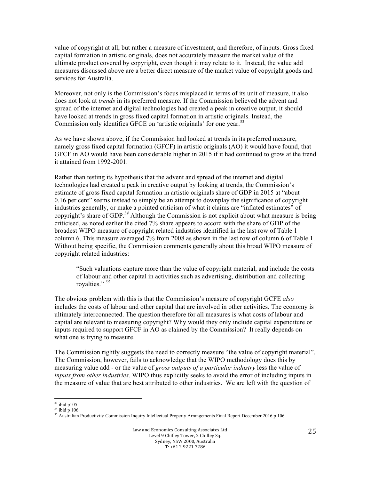value of copyright at all, but rather a measure of investment, and therefore, of inputs. Gross fixed capital formation in artistic originals, does not accurately measure the market value of the ultimate product covered by copyright, even though it may relate to it. Instead, the value add measures discussed above are a better direct measure of the market value of copyright goods and services for Australia.

Moreover, not only is the Commission's focus misplaced in terms of its unit of measure, it also does not look at *trends* in its preferred measure. If the Commission believed the advent and spread of the internet and digital technologies had created a peak in creative output, it should have looked at trends in gross fixed capital formation in artistic originals. Instead, the Commission only identifies GFCE on 'artistic originals' for one year.<sup>33</sup>

As we have shown above, if the Commission had looked at trends in its preferred measure, namely gross fixed capital formation (GFCF) in artistic originals (AO) it would have found, that GFCF in AO would have been considerable higher in 2015 if it had continued to grow at the trend it attained from 1992-2001.

Rather than testing its hypothesis that the advent and spread of the internet and digital technologies had created a peak in creative output by looking at trends, the Commission's estimate of gross fixed capital formation in artistic originals share of GDP in 2015 at "about 0.16 per cent" seems instead to simply be an attempt to downplay the significance of copyright industries generally, or make a pointed criticism of what it claims are "inflated estimates" of copyright's share of GDP. *<sup>34</sup>* Although the Commission is not explicit about what measure is being criticised, as noted earlier the cited 7% share appears to accord with the share of GDP of the broadest WIPO measure of copyright related industries identified in the last row of Table 1 column 6. This measure averaged 7% from 2008 as shown in the last row of column 6 of Table 1. Without being specific, the Commission comments generally about this broad WIPO measure of copyright related industries:

"Such valuations capture more than the value of copyright material, and include the costs of labour and other capital in activities such as advertising, distribution and collecting royalties." *<sup>35</sup>*

The obvious problem with this is that the Commission's measure of copyright GCFE *also*  includes the costs of labour and other capital that are involved in other activities. The economy is ultimately interconnected. The question therefore for all measures is what costs of labour and capital are relevant to measuring copyright? Why would they only include capital expenditure or inputs required to support GFCF in AO as claimed by the Commission? It really depends on what one is trying to measure.

The Commission rightly suggests the need to correctly measure "the value of copyright material". The Commission, however, fails to acknowledge that the WIPO methodology does this by measuring value add - or the value of *gross outputs of a particular industry* less the value of *inputs from other industries*. WIPO thus explicitly seeks to avoid the error of including inputs in the measure of value that are best attributed to other industries. We are left with the question of

 

 $33$  ibid p105  $34$  ibid p 106

<sup>&</sup>lt;sup>35</sup> Australian Productivity Commission Inquiry Intellectual Property Arrangements Final Report December 2016 p 106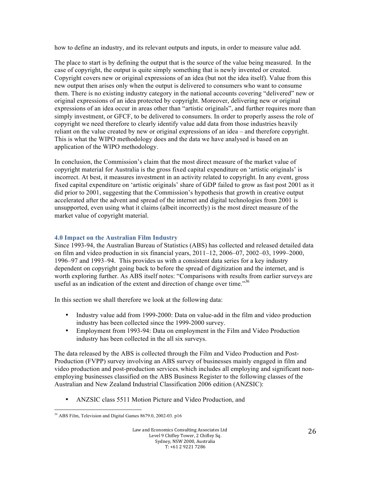how to define an industry, and its relevant outputs and inputs, in order to measure value add.

The place to start is by defining the output that is the source of the value being measured. In the case of copyright, the output is quite simply something that is newly invented or created. Copyright covers new or original expressions of an idea (but not the idea itself). Value from this new output then arises only when the output is delivered to consumers who want to consume them. There is no existing industry category in the national accounts covering "delivered" new or original expressions of an idea protected by copyright. Moreover, delivering new or original expressions of an idea occur in areas other than "artistic originals", and further requires more than simply investment, or GFCF, to be delivered to consumers. In order to properly assess the role of copyright we need therefore to clearly identify value add data from those industries heavily reliant on the value created by new or original expressions of an idea – and therefore copyright. This is what the WIPO methodology does and the data we have analysed is based on an application of the WIPO methodology.

In conclusion, the Commission's claim that the most direct measure of the market value of copyright material for Australia is the gross fixed capital expenditure on 'artistic originals' is incorrect. At best, it measures investment in an activity related to copyright. In any event, gross fixed capital expenditure on 'artistic originals' share of GDP failed to grow as fast post 2001 as it did prior to 2001, suggesting that the Commission's hypothesis that growth in creative output accelerated after the advent and spread of the internet and digital technologies from 2001 is unsupported, even using what it claims (albeit incorrectly) is the most direct measure of the market value of copyright material.

# **4.0 Impact on the Australian Film Industry**

Since 1993-94, the Australian Bureau of Statistics (ABS) has collected and released detailed data on film and video production in six financial years,  $2011-12$ ,  $2006-07$ ,  $2002-03$ ,  $1999-2000$ , 1996–97 and 1993–94. This provides us with a consistent data series for a key industry dependent on copyright going back to before the spread of digitization and the internet, and is worth exploring further. As ABS itself notes: "Comparisons with results from earlier surveys are useful as an indication of the extent and direction of change over time."<sup>36</sup>

In this section we shall therefore we look at the following data:

- Industry value add from 1999-2000: Data on value-add in the film and video production industry has been collected since the 1999-2000 survey.
- Employment from 1993-94: Data on employment in the Film and Video Production industry has been collected in the all six surveys.

The data released by the ABS is collected through the Film and Video Production and Post-Production (FVPP) survey involving an ABS survey of businesses mainly engaged in film and video production and post-production services, which includes all employing and significant nonemploying businesses classified on the ABS Business Register to the following classes of the Australian and New Zealand Industrial Classification 2006 edition (ANZSIC):

• ANZSIC class 5511 Motion Picture and Video Production, and

 <sup>36</sup> ABS Film, Television and Digital Games 8679.0, 2002-03. p16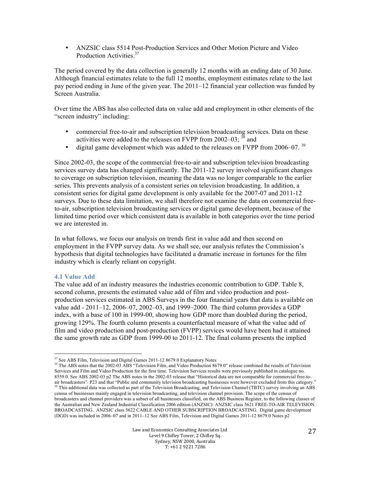• ANZSIC class 5514 Post-Production Services and Other Motion Picture and Video Production Activities.<sup>37</sup>

The period covered by the data collection is generally 12 months with an ending date of 30 June. Although financial estimates relate to the full 12 months, employment estimates relate to the last pay period ending in June of the given year. The 2011–12 financial year collection was funded by Screen Australia.

Over time the ABS has also collected data on value add and employment in other elements of the "screen industry" including:

- commercial free-to-air and subscription television broadcasting services. Data on these activities were added to the releases on FVPP from  $2002-03$ ;  $\frac{38}{3}$  and
- digital game development which was added to the releases on FVPP from  $2006-07$ .  $39$

Since 2002-03, the scope of the commercial free-to-air and subscription television broadcasting services survey data has changed significantly. The 2011-12 survey involved significant changes to coverage on subscription television, meaning the data was no longer comparable to the earlier series. This prevents analysis of a consistent series on television broadcasting. In addition, a consistent series for digital game development is only available for the 2007-07 and 2011-12 surveys. Due to these data limitation, we shall therefore not examine the data on commercial freeto-air, subscription television broadcasting services or digital game development, because of the limited time period over which consistent data is available in both categories over the time period we are interested in.

In what follows, we focus our analysis on trends first in value add and then second on employment in the FVPP survey data. As we shall see, our analysis refutes the Commission's hypothesis that digital technologies have facilitated a dramatic increase in fortunes for the film industry which is clearly reliant on copyright.

#### **4.1 Value Add**

The value add of an industry measures the industries economic contribution to GDP. Table 8, second column, presents the estimated value add of film and video production and postproduction services estimated in ABS Surveys in the four financial years that data is available on value add - 2011–12, 2006–07, 2002–03, and 1999–2000. The third column provides a GDP index, with a base of 100 in 1999-00, showing how GDP more than doubled during the period, growing 129%. The fourth column presents a counterfactual measure of what the value add of film and video production and post-production (FVPP) services would have been had it attained the same growth rate as GDP from 1999-00 to 2011-12. The final column presents the implied

 

<sup>&</sup>lt;sup>37</sup> See ABS Film, Television and Digital Games 2011-12 8679.0 Explanatory Notes

<sup>&</sup>lt;sup>38</sup> The ABS notes that the 2002-03 ABS "Television Film, and Video Production 8679.0" release combined the results of Television Services and Film and Video Production for the first time. Television Services results were previously published in catalogue no. 8559.0. See ABS 2002-03 p2 The ABS notes in the 2002-03 release that "Historical data are not comparable for commercial free-toair broadcasters". P23 and that "Public and community television broadcasting businesses were however excluded from this category."

<sup>&</sup>lt;sup>39</sup> This additional data was collected as part of the Television Broadcasting, and Television Channel (TBTC) survey involving an ABS census of businesses mainly engaged in television broadcasting, and television channel provision. The scope of the census of broadcasters and channel providers was a subset of all businesses classified, on the ABS Business Register, to the following classes of the Australian and New Zealand Industrial Classification 2006 edition (ANZSIC): ANZSIC class 5621 FREE-TO-AIR TELEVISION BROADCASTING. ANZSIC class 5622 CABLE AND OTHER SUBSCRIPTION BROADCASTING. Digital game development (DGD) was included in 2006–07 and in 2011–12 See ABS Film, Television and Digital Games 2011-12 8679.0 Notes p2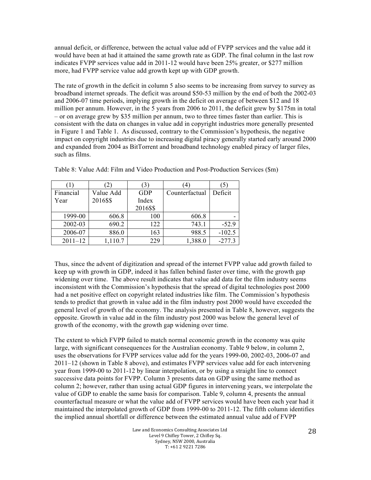annual deficit, or difference, between the actual value add of FVPP services and the value add it would have been at had it attained the same growth rate as GDP. The final column in the last row indicates FVPP services value add in 2011-12 would have been 25% greater, or \$277 million more, had FVPP service value add growth kept up with GDP growth.

The rate of growth in the deficit in column 5 also seems to be increasing from survey to survey as broadband internet spreads. The deficit was around \$50-53 million by the end of both the 2002-03 and 2006-07 time periods, implying growth in the deficit on average of between \$12 and 18 million per annum. However, in the 5 years from 2006 to 2011, the deficit grew by \$175m in total – or on average grew by \$35 million per annum, two to three times faster than earlier. This is consistent with the data on changes in value add in copyright industries more generally presented in Figure 1 and Table 1. As discussed, contrary to the Commission's hypothesis, the negative impact on copyright industries due to increasing digital piracy generally started early around 2000 and expanded from 2004 as BitTorrent and broadband technology enabled piracy of larger files, such as films.

|             |           | 3)         | (4)            | (5)      |
|-------------|-----------|------------|----------------|----------|
| Financial   | Value Add | <b>GDP</b> | Counterfactual | Deficit  |
| Year        | 2016\$\$  | Index      |                |          |
|             |           | 2016\$\$   |                |          |
| 1999-00     | 606.8     | 100        | 606.8          |          |
| 2002-03     | 690.2     | 122        | 743.1          | $-52.9$  |
| 2006-07     | 886.0     | 163        | 988.5          | $-102.5$ |
| $2011 - 12$ | 1,110.7   | 229        | 1,388.0        | $-277.3$ |

Table 8: Value Add: Film and Video Production and Post-Production Services (\$m)

Thus, since the advent of digitization and spread of the internet FVPP value add growth failed to keep up with growth in GDP, indeed it has fallen behind faster over time, with the growth gap widening over time. The above result indicates that value add data for the film industry seems inconsistent with the Commission's hypothesis that the spread of digital technologies post 2000 had a net positive effect on copyright related industries like film. The Commission's hypothesis tends to predict that growth in value add in the film industry post 2000 would have exceeded the general level of growth of the economy. The analysis presented in Table 8, however, suggests the opposite. Growth in value add in the film industry post 2000 was below the general level of growth of the economy, with the growth gap widening over time.

The extent to which FVPP failed to match normal economic growth in the economy was quite large, with significant consequences for the Australian economy. Table 9 below, in column 2, uses the observations for FVPP services value add for the years 1999-00, 2002-03, 2006-07 and 2011–12 (shown in Table 8 above), and estimates FVPP services value add for each intervening year from 1999-00 to 2011-12 by linear interpolation, or by using a straight line to connect successive data points for FVPP. Column 3 presents data on GDP using the same method as column 2; however, rather than using actual GDP figures in intervening years, we interpolate the value of GDP to enable the same basis for comparison. Table 9, column 4, presents the annual counterfactual measure or what the value add of FVPP services would have been each year had it maintained the interpolated growth of GDP from 1999-00 to 2011-12. The fifth column identifies the implied annual shortfall or difference between the estimated annual value add of FVPP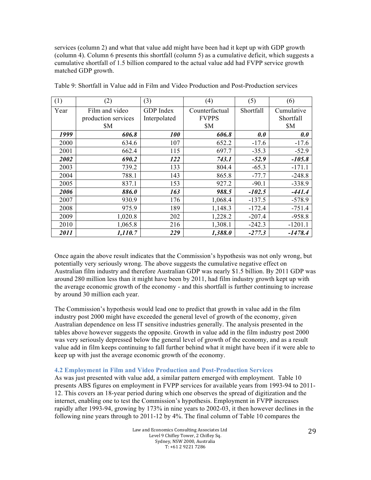services (column 2) and what that value add might have been had it kept up with GDP growth (column 4). Column 6 presents this shortfall (column 5) as a cumulative deficit, which suggests a cumulative shortfall of 1.5 billion compared to the actual value add had FVPP service growth matched GDP growth.

| (1)  | (2)                 | (3)          | (4)            | (5)       | (6)        |
|------|---------------------|--------------|----------------|-----------|------------|
| Year | Film and video      | GDP Index    | Counterfactual | Shortfall | Cumulative |
|      | production services | Interpolated | <b>FVPPS</b>   |           | Shortfall  |
|      | \$M                 |              | \$M            |           | \$M        |
| 1999 | 606.8               | <b>100</b>   | 606.8          | 0.0       | 0.0        |
| 2000 | 634.6               | 107          | 652.2          | $-17.6$   | $-17.6$    |
| 2001 | 662.4               | 115          | 697.7          | $-35.3$   | $-52.9$    |
| 2002 | 690.2               | 122          | 743.1          | $-52.9$   | $-105.8$   |
| 2003 | 739.2               | 133          | 804.4          | $-65.3$   | $-171.1$   |
| 2004 | 788.1               | 143          | 865.8          | $-77.7$   | $-248.8$   |
| 2005 | 837.1               | 153          | 927.2          | $-90.1$   | $-338.9$   |
| 2006 | 886.0               | 163          | 988.5          | $-102.5$  | $-441.4$   |
| 2007 | 930.9               | 176          | 1,068.4        | $-137.5$  | $-578.9$   |
| 2008 | 975.9               | 189          | 1,148.3        | $-172.4$  | $-751.4$   |
| 2009 | 1,020.8             | 202          | 1,228.2        | $-207.4$  | $-958.8$   |
| 2010 | 1,065.8             | 216          | 1,308.1        | $-242.3$  | $-1201.1$  |
| 2011 | 1,110.7             | 229          | 1,388.0        | $-277.3$  | $-1478.4$  |

Table 9: Shortfall in Value add in Film and Video Production and Post-Production services

Once again the above result indicates that the Commission's hypothesis was not only wrong, but potentially very seriously wrong. The above suggests the cumulative negative effect on Australian film industry and therefore Australian GDP was nearly \$1.5 billion. By 2011 GDP was around 280 million less than it might have been by 2011, had film industry growth kept up with the average economic growth of the economy - and this shortfall is further continuing to increase by around 30 million each year.

The Commission's hypothesis would lead one to predict that growth in value add in the film industry post 2000 might have exceeded the general level of growth of the economy, given Australian dependence on less IT sensitive industries generally. The analysis presented in the tables above however suggests the opposite. Growth in value add in the film industry post 2000 was very seriously depressed below the general level of growth of the economy, and as a result value add in film keeps continuing to fall further behind what it might have been if it were able to keep up with just the average economic growth of the economy.

#### **4.2 Employment in Film and Video Production and Post-Production Services**

As was just presented with value add, a similar pattern emerged with employment. Table 10 presents ABS figures on employment in FVPP services for available years from 1993-94 to 2011- 12. This covers an 18-year period during which one observes the spread of digitization and the internet, enabling one to test the Commission's hypothesis. Employment in FVPP increases rapidly after 1993-94, growing by 173% in nine years to 2002-03, it then however declines in the following nine years through to 2011-12 by 4%. The final column of Table 10 compares the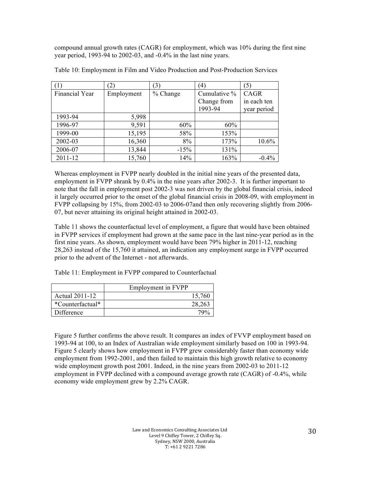compound annual growth rates (CAGR) for employment, which was 10% during the first nine year period, 1993-94 to 2002-03, and -0.4% in the last nine years.

|                | $\mathbf{2}$ | (3)      | $^{\prime}$  | (5)         |
|----------------|--------------|----------|--------------|-------------|
| Financial Year | Employment   | % Change | Cumulative % | CAGR        |
|                |              |          | Change from  | in each ten |
|                |              |          | 1993-94      | year period |
| 1993-94        | 5,998        |          |              |             |
| 1996-97        | 9,591        | 60%      | 60%          |             |
| 1999-00        | 15,195       | 58%      | 153%         |             |
| 2002-03        | 16,360       | 8%       | 173%         | 10.6%       |
| 2006-07        | 13,844       | $-15%$   | 131%         |             |
| 2011-12        | 15,760       | 14%      | 163%         | $-0.4%$     |

Table 10: Employment in Film and Video Production and Post-Production Services

Whereas employment in FVPP nearly doubled in the initial nine years of the presented data, employment in FVPP shrank by 0.4% in the nine years after 2002-3. It is further important to note that the fall in employment post 2002-3 was not driven by the global financial crisis, indeed it largely occurred prior to the onset of the global financial crisis in 2008-09, with employment in FVPP collapsing by 15%, from 2002-03 to 2006-07and then only recovering slightly from 2006- 07, but never attaining its original height attained in 2002-03.

Table 11 shows the counterfactual level of employment, a figure that would have been obtained in FVPP services if employment had grown at the same pace in the last nine-year period as in the first nine years. As shown, employment would have been 79% higher in 2011-12, reaching 28,263 instead of the 15,760 it attained, an indication any employment surge in FVPP occurred prior to the advent of the Internet - not afterwards.

Table 11: Employment in FVPP compared to Counterfactual

|                  | Employment in FVPP |
|------------------|--------------------|
| Actual 2011-12   | 15,760             |
| *Counterfactual* | 28,263             |
| Difference       | 700                |

Figure 5 further confirms the above result. It compares an index of FVVP employment based on 1993-94 at 100, to an Index of Australian wide employment similarly based on 100 in 1993-94. Figure 5 clearly shows how employment in FVPP grew considerably faster than economy wide employment from 1992-2001, and then failed to maintain this high growth relative to economy wide employment growth post 2001. Indeed, in the nine years from 2002-03 to 2011-12 employment in FVPP declined with a compound average growth rate (CAGR) of -0.4%, while economy wide employment grew by 2.2% CAGR.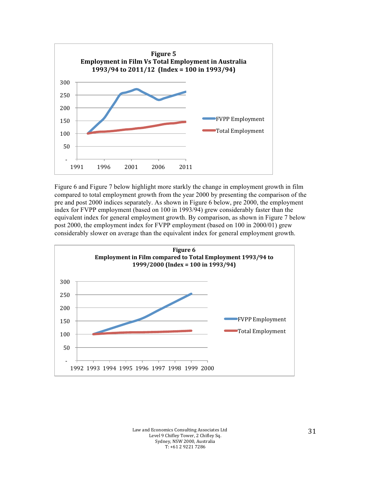

Figure 6 and Figure 7 below highlight more starkly the change in employment growth in film compared to total employment growth from the year 2000 by presenting the comparison of the pre and post 2000 indices separately. As shown in Figure 6 below, pre 2000, the employment index for FVPP employment (based on 100 in 1993/94) grew considerably faster than the equivalent index for general employment growth. By comparison, as shown in Figure 7 below post 2000, the employment index for FVPP employment (based on 100 in 2000/01) grew considerably slower on average than the equivalent index for general employment growth.



Law and Economics Consulting Associates Ltd Level 9 Chifley Tower, 2 Chifley Sq. Sydney, NSW 2000, Australia  $T: +61292217286$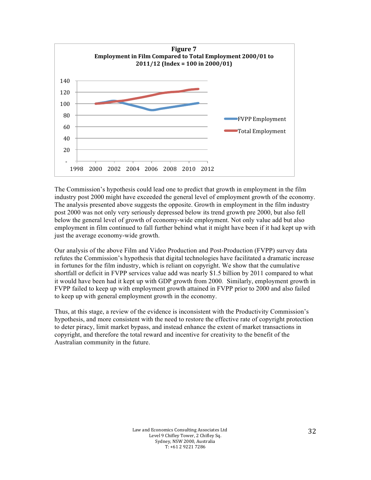

The Commission's hypothesis could lead one to predict that growth in employment in the film industry post 2000 might have exceeded the general level of employment growth of the economy. The analysis presented above suggests the opposite. Growth in employment in the film industry post 2000 was not only very seriously depressed below its trend growth pre 2000, but also fell below the general level of growth of economy-wide employment. Not only value add but also employment in film continued to fall further behind what it might have been if it had kept up with just the average economy-wide growth.

Our analysis of the above Film and Video Production and Post-Production (FVPP) survey data refutes the Commission's hypothesis that digital technologies have facilitated a dramatic increase in fortunes for the film industry, which is reliant on copyright. We show that the cumulative shortfall or deficit in FVPP services value add was nearly \$1.5 billion by 2011 compared to what it would have been had it kept up with GDP growth from 2000*.* Similarly, employment growth in FVPP failed to keep up with employment growth attained in FVPP prior to 2000 and also failed to keep up with general employment growth in the economy.

Thus, at this stage, a review of the evidence is inconsistent with the Productivity Commission's hypothesis, and more consistent with the need to restore the effective rate of copyright protection to deter piracy, limit market bypass, and instead enhance the extent of market transactions in copyright, and therefore the total reward and incentive for creativity to the benefit of the Australian community in the future.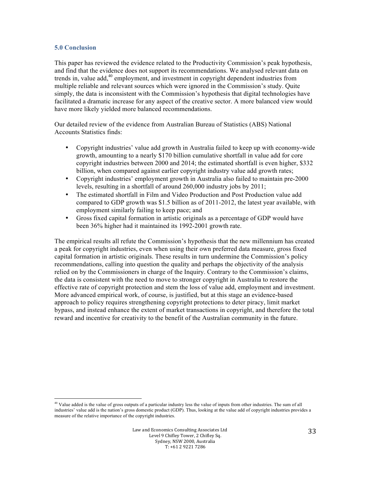#### **5.0 Conclusion**

This paper has reviewed the evidence related to the Productivity Commission's peak hypothesis, and find that the evidence does not support its recommendations. We analysed relevant data on trends in, value add, <sup>40</sup> employment, and investment in copyright dependent industries from multiple reliable and relevant sources which were ignored in the Commission's study. Quite simply, the data is inconsistent with the Commission's hypothesis that digital technologies have facilitated a dramatic increase for any aspect of the creative sector. A more balanced view would have more likely yielded more balanced recommendations.

Our detailed review of the evidence from Australian Bureau of Statistics (ABS) National Accounts Statistics finds:

- Copyright industries' value add growth in Australia failed to keep up with economy-wide growth, amounting to a nearly \$170 billion cumulative shortfall in value add for core copyright industries between 2000 and 2014; the estimated shortfall is even higher, \$332 billion, when compared against earlier copyright industry value add growth rates;
- Copyright industries' employment growth in Australia also failed to maintain pre-2000 levels, resulting in a shortfall of around 260,000 industry jobs by 2011;
- The estimated shortfall in Film and Video Production and Post Production value add compared to GDP growth was \$1.5 billion as of 2011-2012, the latest year available, with employment similarly failing to keep pace; and
- Gross fixed capital formation in artistic originals as a percentage of GDP would have been 36% higher had it maintained its 1992-2001 growth rate.

The empirical results all refute the Commission's hypothesis that the new millennium has created a peak for copyright industries, even when using their own preferred data measure, gross fixed capital formation in artistic originals. These results in turn undermine the Commission's policy recommendations, calling into question the quality and perhaps the objectivity of the analysis relied on by the Commissioners in charge of the Inquiry. Contrary to the Commission's claims, the data is consistent with the need to move to stronger copyright in Australia to restore the effective rate of copyright protection and stem the loss of value add, employment and investment. More advanced empirical work, of course, is justified, but at this stage an evidence-based approach to policy requires strengthening copyright protections to deter piracy, limit market bypass, and instead enhance the extent of market transactions in copyright, and therefore the total reward and incentive for creativity to the benefit of the Australian community in the future.

 <sup>40</sup> Value added is the value of gross outputs of a particular industry less the value of inputs from other industries. The sum of all industries' value add is the nation's gross domestic product (GDP). Thus, looking at the value add of copyright industries provides a measure of the relative importance of the copyright industries.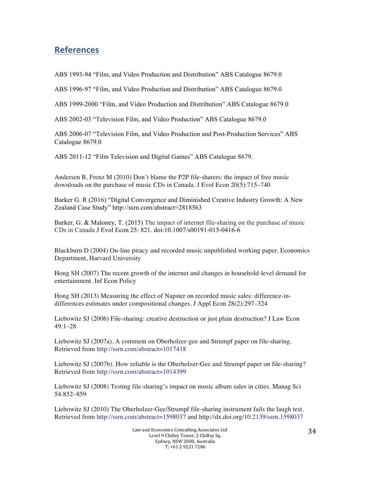# **References**

ABS 1993-94 "Film, and Video Production and Distribution" ABS Catalogue 8679.0

ABS 1996-97 "Film, and Video Production and Distribution" ABS Catalogue 8679.0

ABS 1999-2000 "Film, and Video Production and Distribution" ABS Catalogue 8679.0

ABS 2002-03 "Television Film, and Video Production" ABS Catalogue 8679.0

ABS 2006-07 "Television Film, and Video Production and Post-Production Services" ABS Catalogue 8679.0

ABS 2011-12 "Film Television and Digital Games" ABS Catalogue 8679.

Andersen B, Frenz M (2010) Don't blame the P2P file-sharers: the impact of free music downloads on the purchase of music CDs in Canada. J Evol Econ 20(5):715–740

Barker G. R (2016) "Digital Convergence and Diminished Creative Industry Growth: A New Zealand Case Study" http://ssrn.com/abstract=2818563

Barker, G. & Maloney, T. (2015) The impact of internet file-sharing on the purchase of music CDs in Canada J Evol Econ 25: 821. doi:10.1007/s00191-015-0416-6

Blackburn D (2004) On-line piracy and recorded music unpublished working paper. Economics Department, Harvard University

Hong SH (2007) The recent growth of the internet and changes in household-level demand for entertainment. Inf Econ Policy

Hong SH (2013) Measuring the effect of Napster on recorded music sales: difference-indifferences estimates under compositional changes. J Appl Econ 28(2):297–324

Liebowitz SJ (2006) File-sharing: creative destruction or just plain destruction? J Law Econ 49:1–28

Liebowitz SJ (2007a). A comment on Oberholzer-gee and Strumpf paper on file-sharing. Retrieved from http://ssrn.com/abstract=1017418

Liebowitz SJ (2007b). How reliable is the Oberholzer-Gee and Strumpf paper on file-sharing? Retrieved from http://ssrn.com/abstract=1014399

Liebowitz SJ (2008) Testing file-sharing's impact on music album sales in cities. Manag Sci 54:852–859

Liebowitz SJ (2010) The Oberholzer-Gee/Strumpf file-sharing instrument fails the laugh test. Retrieved from http://ssrn.com/abstract=1598037 and http://dx.doi.org/10.2139/ssrn.1598037